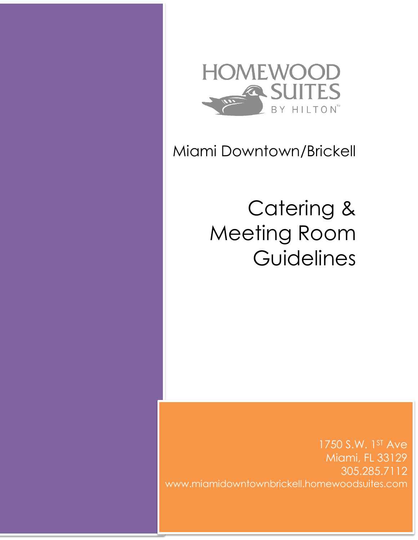

## Miami Downtown/Brickell

# Catering & Meeting Room **Guidelines**

1750 S.W. 1ST Ave Miami, FL 33129 305.285.7112 www.miamidowntownbrickell.homewoodsuites.com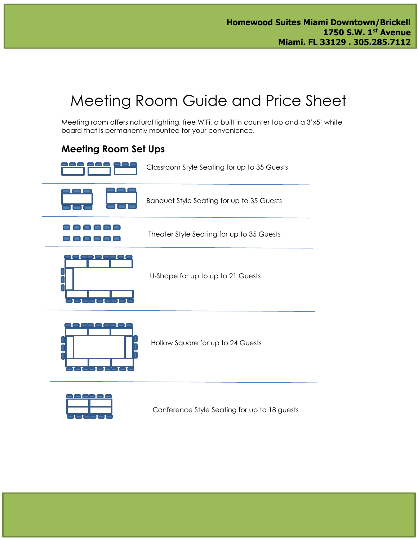## Meeting Room Guide and Price Sheet

Meeting room offers natural lighting, free WiFi, a built in counter top and a 3'x5' white board that is permanently mounted for your convenience.

## **Meeting Room Set Ups**





Conference Style Seating for up to 18 guests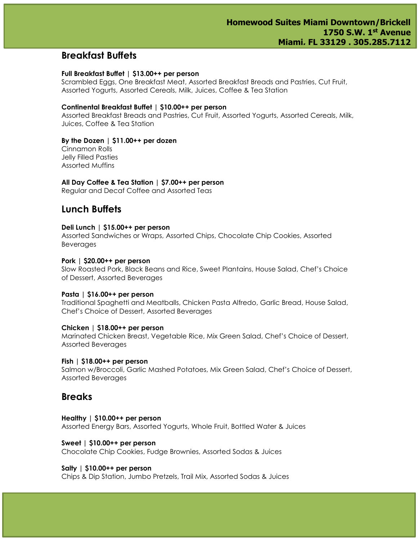### **Breakfast Buffets**

#### **Full Breakfast Buffet | \$13.00++ per person**

Scrambled Eggs, One Breakfast Meat, Assorted Breakfast Breads and Pastries, Cut Fruit, Assorted Yogurts, Assorted Cereals, Milk, Juices, Coffee & Tea Station

#### **Continental Breakfast Buffet | \$10.00++ per person**

Assorted Breakfast Breads and Pastries, Cut Fruit, Assorted Yogurts, Assorted Cereals, Milk, Juices, Coffee & Tea Station

#### **By the Dozen | \$11.00++ per dozen**

Cinnamon Rolls Jelly Filled Pasties Assorted Muffins

#### **All Day Coffee & Tea Station | \$7.00++ per person**

Regular and Decaf Coffee and Assorted Teas

## **Lunch Buffets**

#### **Deli Lunch | \$15.00++ per person**

Assorted Sandwiches or Wraps, Assorted Chips, Chocolate Chip Cookies, Assorted Beverages

#### **Pork | \$20.00++ per person**

Slow Roasted Pork, Black Beans and Rice, Sweet Plantains, House Salad, Chef's Choice of Dessert, Assorted Beverages

#### **Pasta | \$16.00++ per person**

Traditional Spaghetti and Meatballs, Chicken Pasta Alfredo, Garlic Bread, House Salad, Chef's Choice of Dessert, Assorted Beverages

#### **Chicken | \$18.00++ per person**

Marinated Chicken Breast, Vegetable Rice, Mix Green Salad, Chef's Choice of Dessert, Assorted Beverages

#### **Fish | \$18.00++ per person**

Salmon w/Broccoli, Garlic Mashed Potatoes, Mix Green Salad, Chef's Choice of Dessert, Assorted Beverages

### **Breaks**

#### **Healthy | \$10.00++ per person** Assorted Energy Bars, Assorted Yogurts, Whole Fruit, Bottled Water & Juices

**Sweet | \$10.00++ per person** Chocolate Chip Cookies, Fudge Brownies, Assorted Sodas & Juices

#### **Salty | \$10.00++ per person**

Chips & Dip Station, Jumbo Pretzels, Trail Mix, Assorted Sodas & Juices